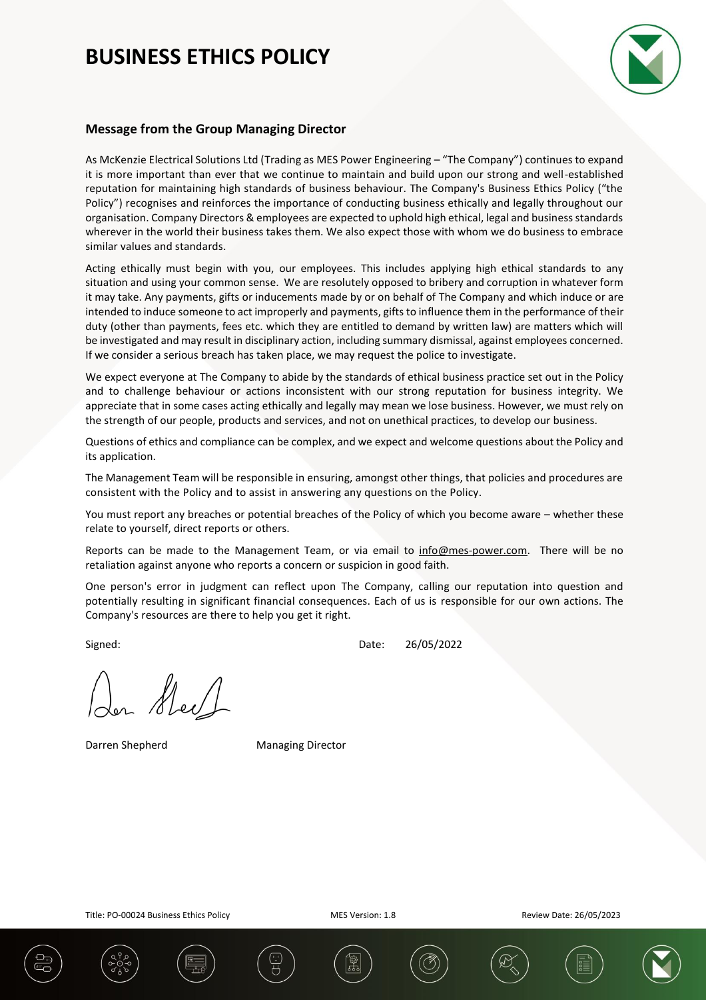

## **Message from the Group Managing Director**

As McKenzie Electrical Solutions Ltd (Trading as MES Power Engineering – "The Company") continues to expand it is more important than ever that we continue to maintain and build upon our strong and well-established reputation for maintaining high standards of business behaviour. The Company's Business Ethics Policy ("the Policy") recognises and reinforces the importance of conducting business ethically and legally throughout our organisation. Company Directors & employees are expected to uphold high ethical, legal and business standards wherever in the world their business takes them. We also expect those with whom we do business to embrace similar values and standards.

Acting ethically must begin with you, our employees. This includes applying high ethical standards to any situation and using your common sense. We are resolutely opposed to bribery and corruption in whatever form it may take. Any payments, gifts or inducements made by or on behalf of The Company and which induce or are intended to induce someone to act improperly and payments, gifts to influence them in the performance of their duty (other than payments, fees etc. which they are entitled to demand by written law) are matters which will be investigated and may result in disciplinary action, including summary dismissal, against employees concerned. If we consider a serious breach has taken place, we may request the police to investigate.

We expect everyone at The Company to abide by the standards of ethical business practice set out in the Policy and to challenge behaviour or actions inconsistent with our strong reputation for business integrity. We appreciate that in some cases acting ethically and legally may mean we lose business. However, we must rely on the strength of our people, products and services, and not on unethical practices, to develop our business.

Questions of ethics and compliance can be complex, and we expect and welcome questions about the Policy and its application.

The Management Team will be responsible in ensuring, amongst other things, that policies and procedures are consistent with the Policy and to assist in answering any questions on the Policy.

You must report any breaches or potential breaches of the Policy of which you become aware – whether these relate to yourself, direct reports or others.

Reports can be made to the Management Team, or via email to [info@mes-power.com.](mailto:info@mes-power.com) There will be no retaliation against anyone who reports a concern or suspicion in good faith.

One person's error in judgment can reflect upon The Company, calling our reputation into question and potentially resulting in significant financial consequences. Each of us is responsible for our own actions. The Company's resources are there to help you get it right.

Signed: 26/05/2022

New

Darren Shepherd Managing Director



Title: PO-00024 Business Ethics Policy New York MES Version: 1.8 Review Date: 26/05/2023





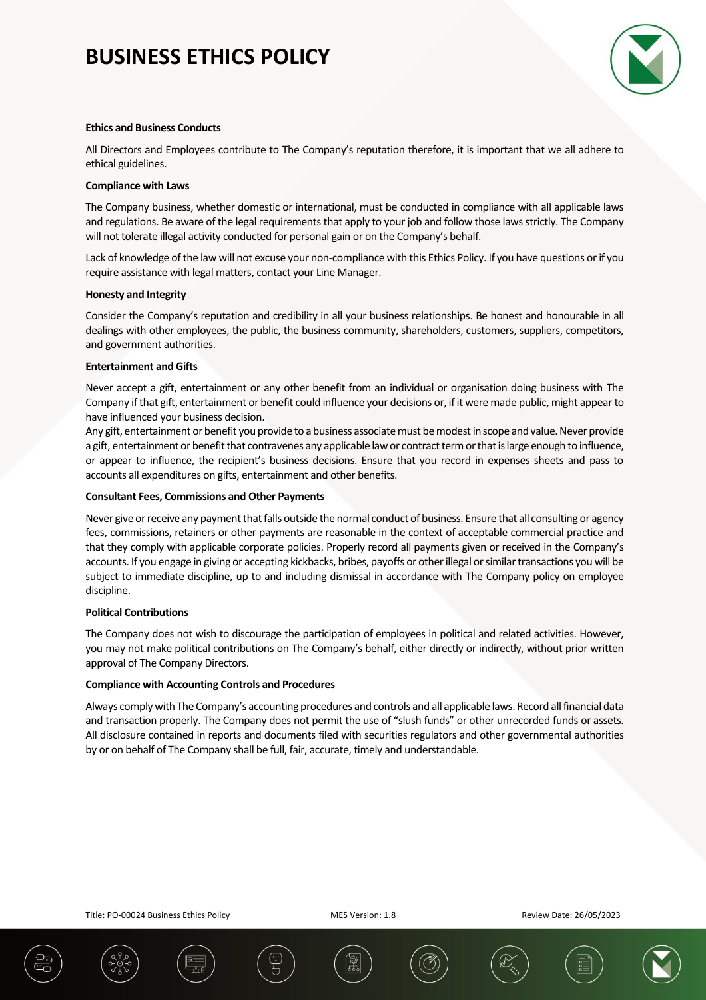

### **Ethics and Business Conducts**

All Directors and Employees contribute to The Company's reputation therefore, it is important that we all adhere to ethical guidelines.

#### **Compliance with Laws**

The Company business, whether domestic or international, must be conducted in compliance with all applicable laws and regulations. Be aware of the legal requirements that apply to your job and follow those laws strictly. The Company will not tolerate illegal activity conducted for personal gain or on the Company's behalf.

Lack of knowledge of the law will not excuse your non-compliance with this Ethics Policy. If you have questions or if you require assistance with legal matters, contact your Line Manager.

#### **Honesty and Integrity**

Consider the Company's reputation and credibility in all your business relationships. Be honest and honourable in all dealings with other employees, the public, the business community, shareholders, customers, suppliers, competitors, and government authorities.

#### **Entertainment and Gifts**

Never accept a gift, entertainment or any other benefit from an individual or organisation doing business with The Company if that gift, entertainment or benefit could influence your decisions or, if it were made public, might appear to have influenced your business decision.

Any gift, entertainment or benefit you provide to a business associate must be modest in scope and value. Never provide a gift, entertainment or benefit that contravenes any applicable law or contract term or that is large enough to influence, or appear to influence, the recipient's business decisions. Ensure that you record in expenses sheets and pass to accounts all expenditures on gifts, entertainment and other benefits.

#### **Consultant Fees, Commissions and Other Payments**

Never give or receive any payment that falls outside the normal conduct of business. Ensure that all consulting or agency fees, commissions, retainers or other payments are reasonable in the context of acceptable commercial practice and that they comply with applicable corporate policies. Properly record all payments given or received in the Company's accounts. If you engage in giving or accepting kickbacks, bribes, payoffs or other illegal or similar transactions you will be subject to immediate discipline, up to and including dismissal in accordance with The Company policy on employee discipline.

### **Political Contributions**

The Company does not wish to discourage the participation of employees in political and related activities. However, you may not make political contributions on The Company's behalf, either directly or indirectly, without prior written approval of The Company Directors.

### **Compliance with Accounting Controls and Procedures**

Always comply with The Company's accounting procedures and controls and all applicable laws. Record all financial data and transaction properly. The Company does not permit the use of "slush funds" or other unrecorded funds or assets. All disclosure contained in reports and documents filed with securities regulators and other governmental authorities by or on behalf of The Company shall be full, fair, accurate, timely and understandable.

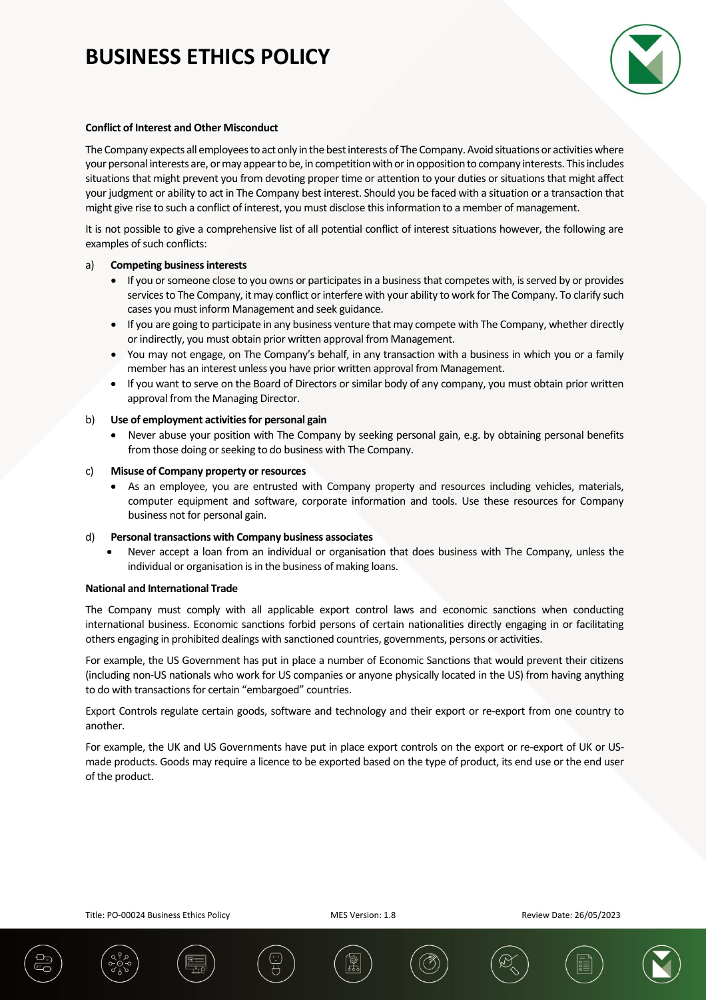

### **Conflict of Interest and Other Misconduct**

The Company expects all employees to act only in the best interests of The Company. Avoid situations or activities where your personal interests are, or may appear to be, in competition with or in opposition to company interests. This includes situations that might prevent you from devoting proper time or attention to your duties or situations that might affect your judgment or ability to act in The Company best interest. Should you be faced with a situation or a transaction that might give rise to such a conflict of interest, you must disclose this information to a member of management.

It is not possible to give a comprehensive list of all potential conflict of interest situations however, the following are examples of such conflicts:

## a) **Competing business interests**

- If you or someone close to you owns or participates in a business that competes with, is served by or provides services to The Company, it may conflict or interfere with your ability to work for The Company. To clarify such cases you must inform Management and seek guidance.
- If you are going to participate in any business venture that may compete with The Company, whether directly or indirectly, you must obtain prior written approval from Management.
- You may not engage, on The Company's behalf, in any transaction with a business in which you or a family member has an interest unless you have prior written approval from Management.
- If you want to serve on the Board of Directors or similar body of any company, you must obtain prior written approval from the Managing Director.

## b) **Use of employment activities for personal gain**

Never abuse your position with The Company by seeking personal gain, e.g. by obtaining personal benefits from those doing or seeking to do business with The Company.

### c) **Misuse of Company property or resources**

As an employee, you are entrusted with Company property and resources including vehicles, materials, computer equipment and software, corporate information and tools. Use these resources for Company business not for personal gain.

### d) **Personal transactions with Company business associates**

Never accept a loan from an individual or organisation that does business with The Company, unless the individual or organisation is in the business of making loans.

### **National and International Trade**

The Company must comply with all applicable export control laws and economic sanctions when conducting international business. Economic sanctions forbid persons of certain nationalities directly engaging in or facilitating others engaging in prohibited dealings with sanctioned countries, governments, persons or activities.

For example, the US Government has put in place a number of Economic Sanctions that would prevent their citizens (including non-US nationals who work for US companies or anyone physically located in the US) from having anything to do with transactions for certain "embargoed" countries.

Export Controls regulate certain goods, software and technology and their export or re-export from one country to another.

For example, the UK and US Governments have put in place export controls on the export or re-export of UK or USmade products. Goods may require a licence to be exported based on the type of product, its end use or the end user of the product.

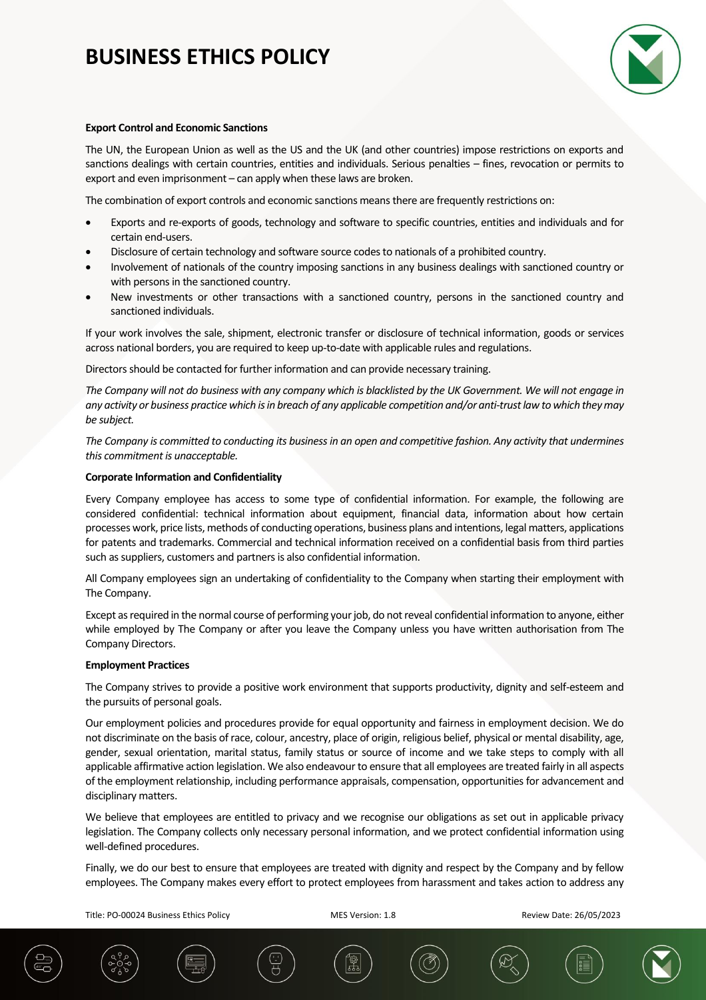

### **Export Control and Economic Sanctions**

The UN, the European Union as well as the US and the UK (and other countries) impose restrictions on exports and sanctions dealings with certain countries, entities and individuals. Serious penalties – fines, revocation or permits to export and even imprisonment – can apply when these laws are broken.

The combination of export controls and economic sanctions means there are frequently restrictions on:

- Exports and re-exports of goods, technology and software to specific countries, entities and individuals and for certain end-users.
- Disclosure of certain technology and software source codes to nationals of a prohibited country.
- Involvement of nationals of the country imposing sanctions in any business dealings with sanctioned country or with persons in the sanctioned country.
- New investments or other transactions with a sanctioned country, persons in the sanctioned country and sanctioned individuals.

If your work involves the sale, shipment, electronic transfer or disclosure of technical information, goods or services across national borders, you are required to keep up-to-date with applicable rules and regulations.

Directors should be contacted for further information and can provide necessary training.

*The Company will not do business with any company which is blacklisted by the UK Government. We will not engage in any activity or business practice which is in breach of any applicable competition and/or anti-trust law to which they may be subject.*

*The Company is committed to conducting its business in an open and competitive fashion. Any activity that undermines this commitment is unacceptable.*

### **Corporate Information and Confidentiality**

Every Company employee has access to some type of confidential information. For example, the following are considered confidential: technical information about equipment, financial data, information about how certain processes work, price lists, methods of conducting operations, business plans and intentions, legal matters, applications for patents and trademarks. Commercial and technical information received on a confidential basis from third parties such as suppliers, customers and partners is also confidential information.

All Company employees sign an undertaking of confidentiality to the Company when starting their employment with The Company.

Except as required in the normal course of performing your job, do not reveal confidential information to anyone, either while employed by The Company or after you leave the Company unless you have written authorisation from The Company Directors.

### **Employment Practices**

The Company strives to provide a positive work environment that supports productivity, dignity and self-esteem and the pursuits of personal goals.

Our employment policies and procedures provide for equal opportunity and fairness in employment decision. We do not discriminate on the basis of race, colour, ancestry, place of origin, religious belief, physical or mental disability, age, gender, sexual orientation, marital status, family status or source of income and we take steps to comply with all applicable affirmative action legislation. We also endeavour to ensure that all employees are treated fairly in all aspects of the employment relationship, including performance appraisals, compensation, opportunities for advancement and disciplinary matters.

We believe that employees are entitled to privacy and we recognise our obligations as set out in applicable privacy legislation. The Company collects only necessary personal information, and we protect confidential information using well-defined procedures.

Finally, we do our best to ensure that employees are treated with dignity and respect by the Company and by fellow employees. The Company makes every effort to protect employees from harassment and takes action to address any

Title: PO-00024 Business Ethics Policy MES Version: 1.8 Review Date: 26/05/2023



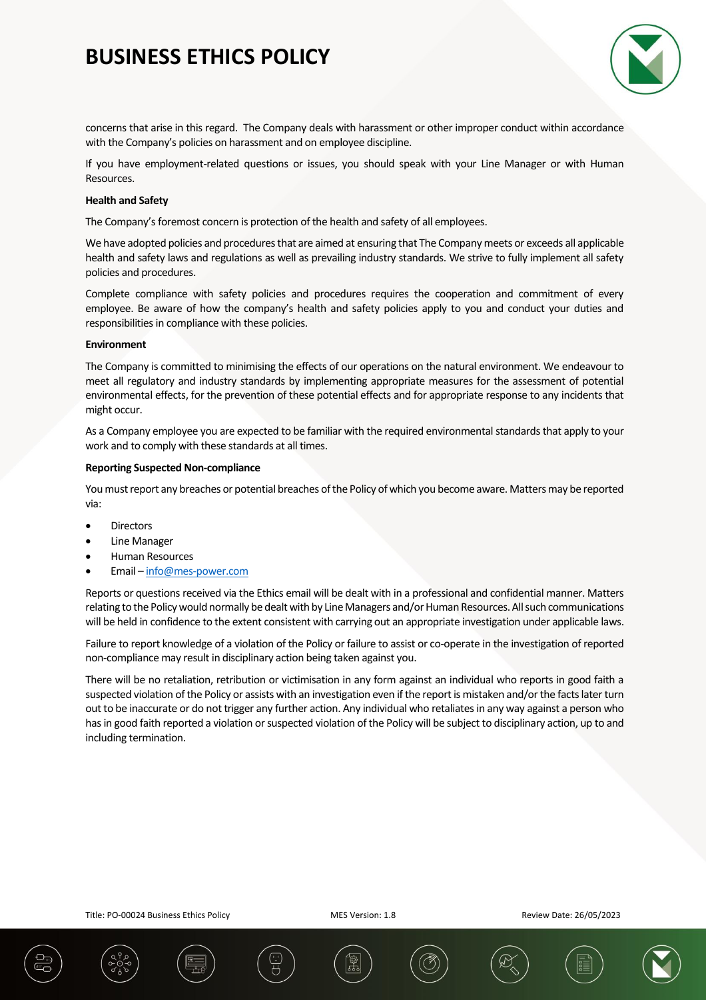

concerns that arise in this regard. The Company deals with harassment or other improper conduct within accordance with the Company's policies on harassment and on employee discipline.

If you have employment-related questions or issues, you should speak with your Line Manager or with Human Resources.

## **Health and Safety**

The Company's foremost concern is protection of the health and safety of all employees.

We have adopted policies and procedures that are aimed at ensuring that The Company meets or exceeds all applicable health and safety laws and regulations as well as prevailing industry standards. We strive to fully implement all safety policies and procedures.

Complete compliance with safety policies and procedures requires the cooperation and commitment of every employee. Be aware of how the company's health and safety policies apply to you and conduct your duties and responsibilities in compliance with these policies.

#### **Environment**

The Company is committed to minimising the effects of our operations on the natural environment. We endeavour to meet all regulatory and industry standards by implementing appropriate measures for the assessment of potential environmental effects, for the prevention of these potential effects and for appropriate response to any incidents that might occur.

As a Company employee you are expected to be familiar with the required environmental standards that apply to your work and to comply with these standards at all times.

### **Reporting Suspected Non-compliance**

You must report any breaches or potential breaches of the Policy of which you become aware. Matters may be reported via:

- **Directors**
- **Line Manager**
- Human Resources
- Email [info@mes-power.com](mailto:info@mes-power.com)

Reports or questions received via the Ethics email will be dealt with in a professional and confidential manner. Matters relating to the Policy would normally be dealt with by Line Managers and/or Human Resources. All such communications will be held in confidence to the extent consistent with carrying out an appropriate investigation under applicable laws.

Failure to report knowledge of a violation of the Policy or failure to assist or co-operate in the investigation of reported non-compliance may result in disciplinary action being taken against you.

There will be no retaliation, retribution or victimisation in any form against an individual who reports in good faith a suspected violation of the Policy or assists with an investigation even if the report is mistaken and/or the facts later turn out to be inaccurate or do not trigger any further action. Any individual who retaliates in any way against a person who has in good faith reported a violation or suspected violation of the Policy will be subject to disciplinary action, up to and including termination.